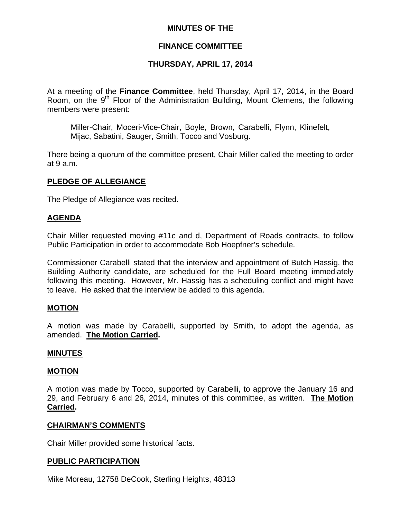### **MINUTES OF THE**

### **FINANCE COMMITTEE**

## **THURSDAY, APRIL 17, 2014**

At a meeting of the **Finance Committee**, held Thursday, April 17, 2014, in the Board Room, on the  $9<sup>th</sup>$  Floor of the Administration Building, Mount Clemens, the following members were present:

Miller-Chair, Moceri-Vice-Chair, Boyle, Brown, Carabelli, Flynn, Klinefelt, Mijac, Sabatini, Sauger, Smith, Tocco and Vosburg.

There being a quorum of the committee present, Chair Miller called the meeting to order at 9 a.m.

### **PLEDGE OF ALLEGIANCE**

The Pledge of Allegiance was recited.

### **AGENDA**

Chair Miller requested moving #11c and d, Department of Roads contracts, to follow Public Participation in order to accommodate Bob Hoepfner's schedule.

Commissioner Carabelli stated that the interview and appointment of Butch Hassig, the Building Authority candidate, are scheduled for the Full Board meeting immediately following this meeting. However, Mr. Hassig has a scheduling conflict and might have to leave. He asked that the interview be added to this agenda.

#### **MOTION**

A motion was made by Carabelli, supported by Smith, to adopt the agenda, as amended. **The Motion Carried.** 

#### **MINUTES**

#### **MOTION**

A motion was made by Tocco, supported by Carabelli, to approve the January 16 and 29, and February 6 and 26, 2014, minutes of this committee, as written. **The Motion Carried.** 

#### **CHAIRMAN'S COMMENTS**

Chair Miller provided some historical facts.

#### **PUBLIC PARTICIPATION**

Mike Moreau, 12758 DeCook, Sterling Heights, 48313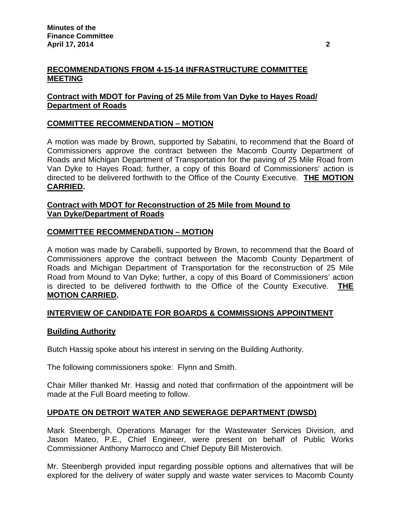# **RECOMMENDATIONS FROM 4-15-14 INFRASTRUCTURE COMMITTEE MEETING**

# **Contract with MDOT for Paving of 25 Mile from Van Dyke to Hayes Road/ Department of Roads**

# **COMMITTEE RECOMMENDATION – MOTION**

A motion was made by Brown, supported by Sabatini, to recommend that the Board of Commissioners approve the contract between the Macomb County Department of Roads and Michigan Department of Transportation for the paving of 25 Mile Road from Van Dyke to Hayes Road; further, a copy of this Board of Commissioners' action is directed to be delivered forthwith to the Office of the County Executive. **THE MOTION CARRIED.** 

## **Contract with MDOT for Reconstruction of 25 Mile from Mound to Van Dyke/Department of Roads**

## **COMMITTEE RECOMMENDATION – MOTION**

A motion was made by Carabelli, supported by Brown, to recommend that the Board of Commissioners approve the contract between the Macomb County Department of Roads and Michigan Department of Transportation for the reconstruction of 25 Mile Road from Mound to Van Dyke; further, a copy of this Board of Commissioners' action is directed to be delivered forthwith to the Office of the County Executive. **THE MOTION CARRIED.** 

## **INTERVIEW OF CANDIDATE FOR BOARDS & COMMISSIONS APPOINTMENT**

## **Building Authority**

Butch Hassig spoke about his interest in serving on the Building Authority.

The following commissioners spoke: Flynn and Smith.

Chair Miller thanked Mr. Hassig and noted that confirmation of the appointment will be made at the Full Board meeting to follow.

## **UPDATE ON DETROIT WATER AND SEWERAGE DEPARTMENT (DWSD)**

Mark Steenbergh, Operations Manager for the Wastewater Services Division, and Jason Mateo, P.E., Chief Engineer, were present on behalf of Public Works Commissioner Anthony Marrocco and Chief Deputy Bill Misterovich.

Mr. Steenbergh provided input regarding possible options and alternatives that will be explored for the delivery of water supply and waste water services to Macomb County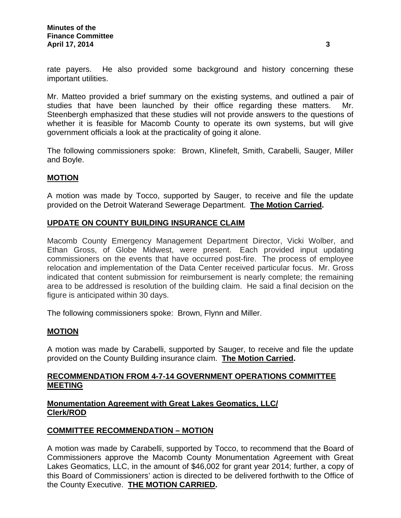rate payers. He also provided some background and history concerning these important utilities.

Mr. Matteo provided a brief summary on the existing systems, and outlined a pair of studies that have been launched by their office regarding these matters. Mr. Steenbergh emphasized that these studies will not provide answers to the questions of whether it is feasible for Macomb County to operate its own systems, but will give government officials a look at the practicality of going it alone.

The following commissioners spoke: Brown, Klinefelt, Smith, Carabelli, Sauger, Miller and Boyle.

# **MOTION**

A motion was made by Tocco, supported by Sauger, to receive and file the update provided on the Detroit Waterand Sewerage Department. **The Motion Carried.** 

## **UPDATE ON COUNTY BUILDING INSURANCE CLAIM**

Macomb County Emergency Management Department Director, Vicki Wolber, and Ethan Gross, of Globe Midwest, were present. Each provided input updating commissioners on the events that have occurred post-fire. The process of employee relocation and implementation of the Data Center received particular focus. Mr. Gross indicated that content submission for reimbursement is nearly complete; the remaining area to be addressed is resolution of the building claim. He said a final decision on the figure is anticipated within 30 days.

The following commissioners spoke: Brown, Flynn and Miller.

#### **MOTION**

A motion was made by Carabelli, supported by Sauger, to receive and file the update provided on the County Building insurance claim. **The Motion Carried.** 

### **RECOMMENDATION FROM 4-7-14 GOVERNMENT OPERATIONS COMMITTEE MEETING**

### **Monumentation Agreement with Great Lakes Geomatics, LLC/ Clerk/ROD**

## **COMMITTEE RECOMMENDATION – MOTION**

A motion was made by Carabelli, supported by Tocco, to recommend that the Board of Commissioners approve the Macomb County Monumentation Agreement with Great Lakes Geomatics, LLC, in the amount of \$46,002 for grant year 2014; further, a copy of this Board of Commissioners' action is directed to be delivered forthwith to the Office of the County Executive. **THE MOTION CARRIED.**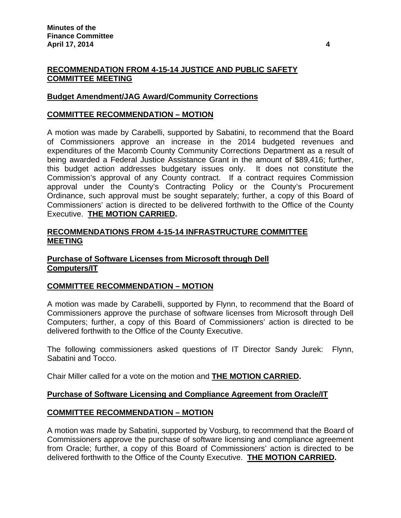# **RECOMMENDATION FROM 4-15-14 JUSTICE AND PUBLIC SAFETY COMMITTEE MEETING**

## **Budget Amendment/JAG Award/Community Corrections**

## **COMMITTEE RECOMMENDATION – MOTION**

A motion was made by Carabelli, supported by Sabatini, to recommend that the Board of Commissioners approve an increase in the 2014 budgeted revenues and expenditures of the Macomb County Community Corrections Department as a result of being awarded a Federal Justice Assistance Grant in the amount of \$89,416; further, this budget action addresses budgetary issues only. It does not constitute the Commission's approval of any County contract. If a contract requires Commission approval under the County's Contracting Policy or the County's Procurement Ordinance, such approval must be sought separately; further, a copy of this Board of Commissioners' action is directed to be delivered forthwith to the Office of the County Executive. **THE MOTION CARRIED.** 

## **RECOMMENDATIONS FROM 4-15-14 INFRASTRUCTURE COMMITTEE MEETING**

## **Purchase of Software Licenses from Microsoft through Dell Computers/IT**

## **COMMITTEE RECOMMENDATION – MOTION**

A motion was made by Carabelli, supported by Flynn, to recommend that the Board of Commissioners approve the purchase of software licenses from Microsoft through Dell Computers; further, a copy of this Board of Commissioners' action is directed to be delivered forthwith to the Office of the County Executive.

The following commissioners asked questions of IT Director Sandy Jurek: Flynn, Sabatini and Tocco.

Chair Miller called for a vote on the motion and **THE MOTION CARRIED.** 

## **Purchase of Software Licensing and Compliance Agreement from Oracle/IT**

## **COMMITTEE RECOMMENDATION – MOTION**

A motion was made by Sabatini, supported by Vosburg, to recommend that the Board of Commissioners approve the purchase of software licensing and compliance agreement from Oracle; further, a copy of this Board of Commissioners' action is directed to be delivered forthwith to the Office of the County Executive. **THE MOTION CARRIED.**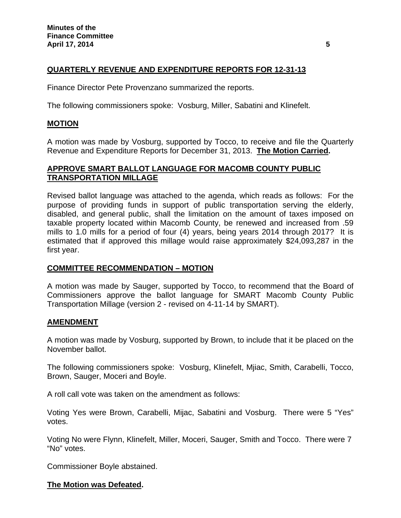# **QUARTERLY REVENUE AND EXPENDITURE REPORTS FOR 12-31-13**

Finance Director Pete Provenzano summarized the reports.

The following commissioners spoke: Vosburg, Miller, Sabatini and Klinefelt.

### **MOTION**

A motion was made by Vosburg, supported by Tocco, to receive and file the Quarterly Revenue and Expenditure Reports for December 31, 2013. **The Motion Carried.** 

## **APPROVE SMART BALLOT LANGUAGE FOR MACOMB COUNTY PUBLIC TRANSPORTATION MILLAGE**

Revised ballot language was attached to the agenda, which reads as follows: For the purpose of providing funds in support of public transportation serving the elderly, disabled, and general public, shall the limitation on the amount of taxes imposed on taxable property located within Macomb County, be renewed and increased from .59 mills to 1.0 mills for a period of four (4) years, being years 2014 through 2017? It is estimated that if approved this millage would raise approximately \$24,093,287 in the first year.

## **COMMITTEE RECOMMENDATION – MOTION**

A motion was made by Sauger, supported by Tocco, to recommend that the Board of Commissioners approve the ballot language for SMART Macomb County Public Transportation Millage (version 2 - revised on 4-11-14 by SMART).

#### **AMENDMENT**

A motion was made by Vosburg, supported by Brown, to include that it be placed on the November ballot.

The following commissioners spoke: Vosburg, Klinefelt, Mjiac, Smith, Carabelli, Tocco, Brown, Sauger, Moceri and Boyle.

A roll call vote was taken on the amendment as follows:

Voting Yes were Brown, Carabelli, Mijac, Sabatini and Vosburg. There were 5 "Yes" votes.

Voting No were Flynn, Klinefelt, Miller, Moceri, Sauger, Smith and Tocco. There were 7 "No" votes.

Commissioner Boyle abstained.

#### **The Motion was Defeated.**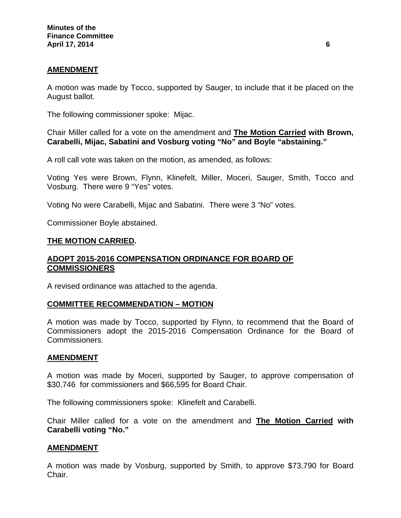## **AMENDMENT**

A motion was made by Tocco, supported by Sauger, to include that it be placed on the August ballot.

The following commissioner spoke: Mijac.

Chair Miller called for a vote on the amendment and **The Motion Carried with Brown, Carabelli, Mijac, Sabatini and Vosburg voting "No" and Boyle "abstaining."** 

A roll call vote was taken on the motion, as amended, as follows:

Voting Yes were Brown, Flynn, Klinefelt, Miller, Moceri, Sauger, Smith, Tocco and Vosburg. There were 9 "Yes" votes.

Voting No were Carabelli, Mijac and Sabatini. There were 3 "No" votes.

Commissioner Boyle abstained.

#### **THE MOTION CARRIED.**

### **ADOPT 2015-2016 COMPENSATION ORDINANCE FOR BOARD OF COMMISSIONERS**

A revised ordinance was attached to the agenda.

#### **COMMITTEE RECOMMENDATION – MOTION**

A motion was made by Tocco, supported by Flynn, to recommend that the Board of Commissioners adopt the 2015-2016 Compensation Ordinance for the Board of Commissioners.

#### **AMENDMENT**

A motion was made by Moceri, supported by Sauger, to approve compensation of \$30,746 for commissioners and \$66,595 for Board Chair.

The following commissioners spoke: Klinefelt and Carabelli.

Chair Miller called for a vote on the amendment and **The Motion Carried with Carabelli voting "No."**

#### **AMENDMENT**

A motion was made by Vosburg, supported by Smith, to approve \$73,790 for Board Chair.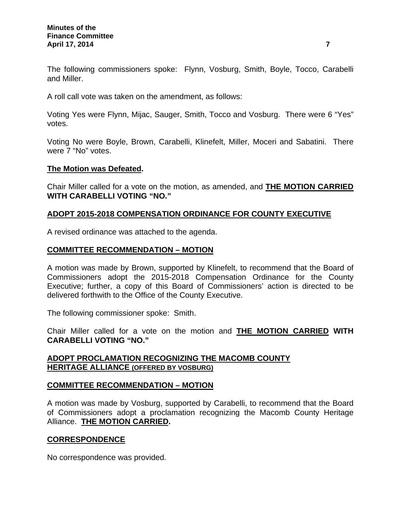The following commissioners spoke: Flynn, Vosburg, Smith, Boyle, Tocco, Carabelli and Miller.

A roll call vote was taken on the amendment, as follows:

Voting Yes were Flynn, Mijac, Sauger, Smith, Tocco and Vosburg. There were 6 "Yes" votes.

Voting No were Boyle, Brown, Carabelli, Klinefelt, Miller, Moceri and Sabatini. There were 7 "No" votes.

#### **The Motion was Defeated.**

Chair Miller called for a vote on the motion, as amended, and **THE MOTION CARRIED WITH CARABELLI VOTING "NO."** 

## **ADOPT 2015-2018 COMPENSATION ORDINANCE FOR COUNTY EXECUTIVE**

A revised ordinance was attached to the agenda.

### **COMMITTEE RECOMMENDATION – MOTION**

A motion was made by Brown, supported by Klinefelt, to recommend that the Board of Commissioners adopt the 2015-2018 Compensation Ordinance for the County Executive; further, a copy of this Board of Commissioners' action is directed to be delivered forthwith to the Office of the County Executive.

The following commissioner spoke: Smith.

Chair Miller called for a vote on the motion and **THE MOTION CARRIED WITH CARABELLI VOTING "NO."** 

### **ADOPT PROCLAMATION RECOGNIZING THE MACOMB COUNTY HERITAGE ALLIANCE (OFFERED BY VOSBURG)**

#### **COMMITTEE RECOMMENDATION – MOTION**

A motion was made by Vosburg, supported by Carabelli, to recommend that the Board of Commissioners adopt a proclamation recognizing the Macomb County Heritage Alliance. **THE MOTION CARRIED.** 

#### **CORRESPONDENCE**

No correspondence was provided.